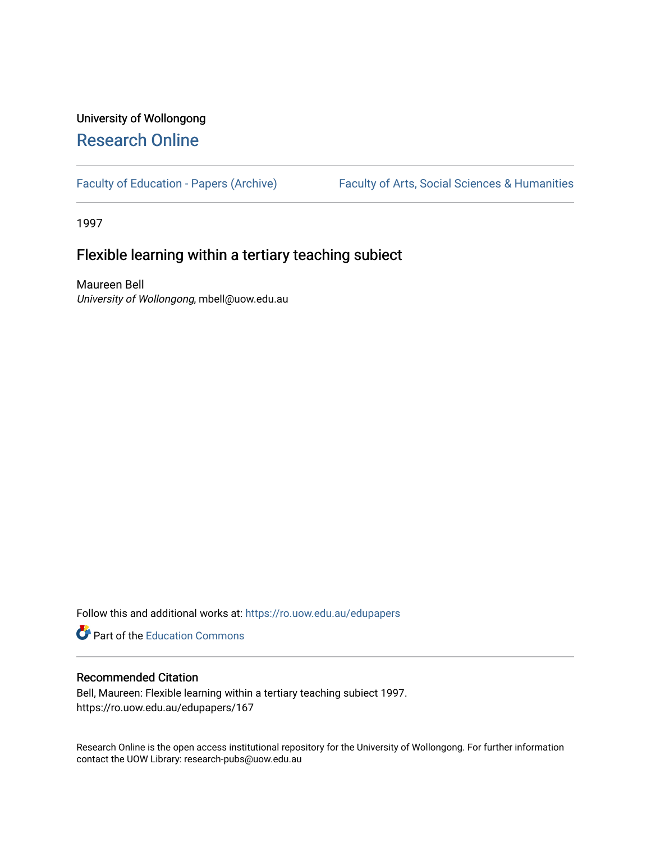# University of Wollongong [Research Online](https://ro.uow.edu.au/)

[Faculty of Education - Papers \(Archive\)](https://ro.uow.edu.au/edupapers) Faculty of Arts, Social Sciences & Humanities

1997

## Flexible learning within a tertiary teaching subiect

Maureen Bell University of Wollongong, mbell@uow.edu.au

Follow this and additional works at: [https://ro.uow.edu.au/edupapers](https://ro.uow.edu.au/edupapers?utm_source=ro.uow.edu.au%2Fedupapers%2F167&utm_medium=PDF&utm_campaign=PDFCoverPages) 

**Part of the [Education Commons](http://network.bepress.com/hgg/discipline/784?utm_source=ro.uow.edu.au%2Fedupapers%2F167&utm_medium=PDF&utm_campaign=PDFCoverPages)** 

### Recommended Citation

Bell, Maureen: Flexible learning within a tertiary teaching subiect 1997. https://ro.uow.edu.au/edupapers/167

Research Online is the open access institutional repository for the University of Wollongong. For further information contact the UOW Library: research-pubs@uow.edu.au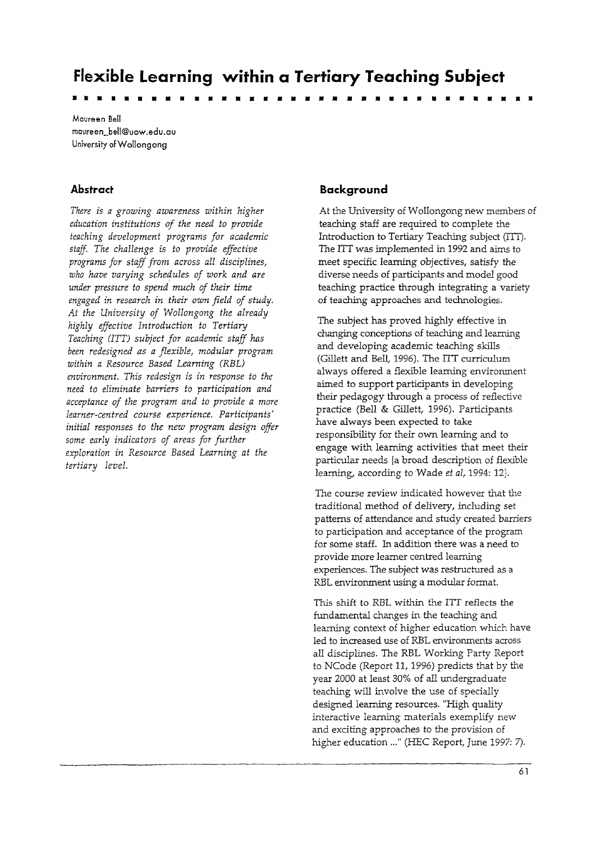**Flexible Learning within a Tertiary Teaching Subiect** ••••••••••••••••••••••••••••••••••

Maureen Bell maureen\_bell@uow.edu.au University afWollongong

### **Abstract**

*There is a growing awareness within higher education institutions of the need* to *provide teaching development programs for academic staff. The challenge is to provide effective programs for staff from across all disciplines, who have varying schedules of work and are under pressure to spend much of their time engaged* in *research in their own field of study. At the University of Wollongong the already highly effective Introduction to Tertiary Teaching (ITT) subject for academic staff has been redesigned as a flexible, modular program within a Resource Based Learning (RBI) environment. This redesign is in response to the need to eliminate barriers to participation and acceptance of the program and to provide a more learner-centred course experience. Participants' initial responses to the new program design offer some early indicators of areas for further exploration in Resource Based Learning at the tertiary level.*

### **Background**

At the University of Wollongong new members of teaching staff are required to complete the Introduction to Tertiary Teaching subject (ITT). The ITT was implemented in 1992 and aims to meet specific learning objectives, satisfy the diverse needs of participants and model good teaching practice through integrating a variety of teaching approaches and technologies.

The subject has proved highly effective in changing conceptions of teaching and learning and developing academic teaching skills (Gillett and Bell, 1996). The ITT curriculum always offered a flexible learning environment aimed to support participants in developing their pedagogy through a process of reflective practice (Bell & Gillett, 1996). Participants have always been expected to take responsibility for their own learning and to engage with learning activities that meet their particular needs {a broad description of flexible learning, according to Wade *et* aI, 1994: 12l.

The course review indicated however that the traditional method of delivery, including set patterns of attendance and study created barriers to participation and acceptance of the program for some staff. In addition there was a need to provide more learner centred learning experiences. The subject was restructured as a RBL environment using a modular format.

This shift to RBL within the ITT reflects the fundamental changes in the teaching and learning context of higher education which have led to increased use of RBL environments across all disciplines. The RBL Working Party Report to NCode (Report 11, 1996) *predicts* that by the year 2000 at least 30% of all undergraduate teaching will involve the use of specially designed learning resources. "High quality interactive learning materials exemplify new and exciting approaches to the provision of higher education ..." (HEC Report, June 1997: 7).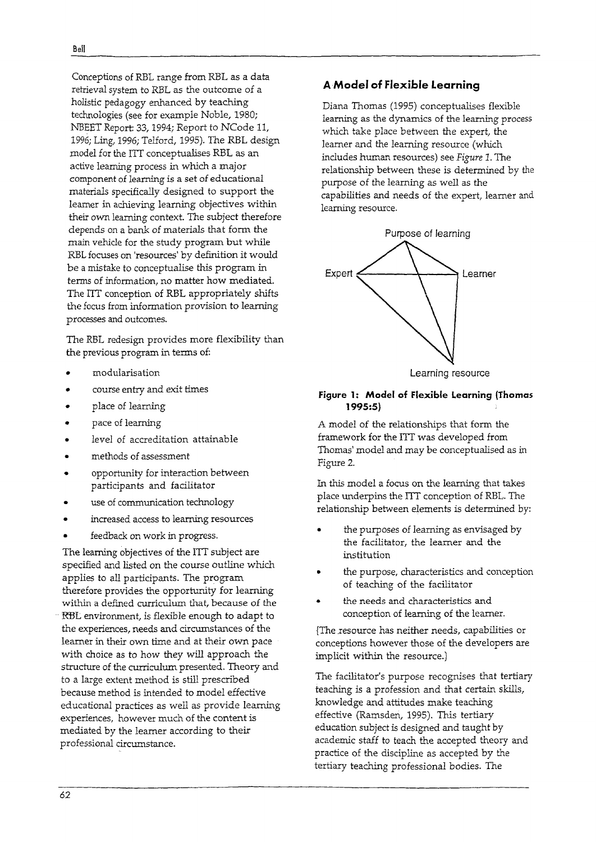Conceptions of REL range from RBL as a data retrieval system to RBL as the outcome of a holistic pedagogy enhanced by teaching technologies (see for example Noble, 1980; NBEET Report: 33, 1994; Report to NCode 11, 1996; Ling, 1996; Telford, 1995). The RBL design model for the ITT conceptualises RBL as an active learning process in which a major component of learning is a set of educational materials specifically designed to support the learner in achieving learning objectives within their own learning context. The subject therefore depends on a bank of materials that form the main vehicle for the study program but while RBL focuses on 'resources' by definition it would be a mistake to conceptualise this program in terms of information, no matter how mediated. The lIT conception of RBL appropriately shifts the focus from information provision to learning processes and outcomes.

The RBL redesign provides more flexibility than the previous program in terms of:

- modularisation
- course entry and exit times
- place of learning
- pace of learning
- level of accreditation attainable
- methods of assessment
- opportunity for interaction between participants and facilitator
- use of communication technology
- increased access to learning resources
- feedback on work in progress.

The learning objectives of the ITT subject are specified and listed on the course outline which applies to all participants. The program therefore provides the opportunity for learning within a defined curriculum that, because of the RBL environment, is flexible enough to adapt to the experiences, needs and circumstances of the learner in their own time and at their own pace with choice as to how they will approach the structure of the curriculum presented. Theory and to a large extent method is still prescribed because method is intended to model effective educational practices as well as provide learning experiences, however much of the content is mediated by the learner according to their professional circumstance.

### A Model **of Flexible Learning**

Diana Thomas (1995) conceptualises flexible learning as the dynamics of the learning process which take place between the expert, the learner and the learning resource (which includes human resources) see *Figure* 1. The relationship between these is determined by the purpose of the learning as well as the capabilities and needs of the expert, learner and learning resource.



#### **figure 1: Model of Flexible Learning (Thomas 1995:5)**

A model of the relationships that form the framework for the ITT was developed from Thomas' model and may be conceptualised as in Figure 2.

In this model a focus on the learning that takes place underpins the ITT conception of RBL. The relationship between elements is determined by:

- the purposes of learning as envisaged by the facilitator, the learner and the institution
- the purpose, characteristics and conception of teaching of the facilitator
- the needs and characteristics and conception of learning of the learner.

{The ,resource has neither needs, capabilities or conceptions however those of the developers are implicit within the resource.)

The facilitator's purpose recognises that tertiary teaching is a profession and that certain skills, knowledge and attitudes make teaching effective (Ramsden, 1995). This tertiary education subject is designed and taught by academic staff to teach the accepted theory and practice of the discipline as accepted by the tertiary teaching professional bodies. The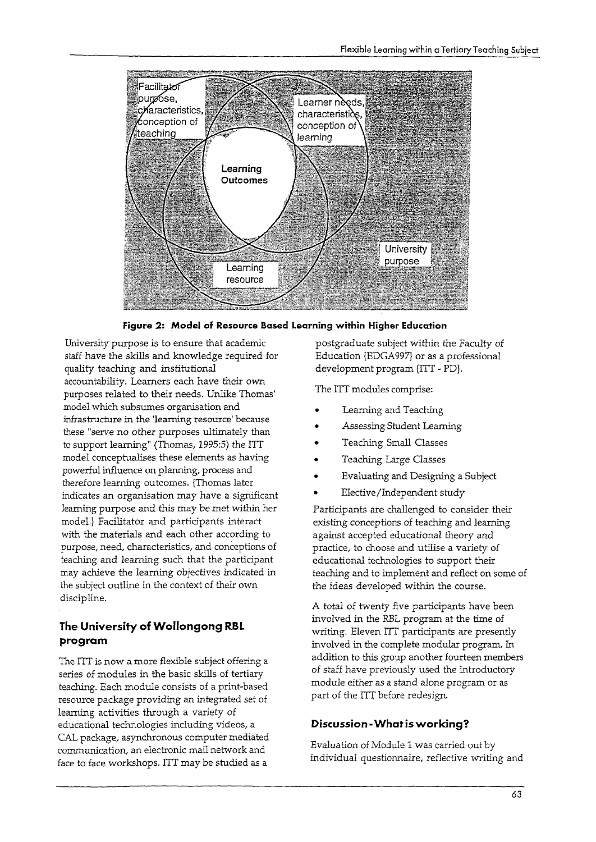

**Figure 2: Model of Resource Based Learning within Higher Education**

University purpose is to ensure that academic staff have the skills and knowledge required for quality teaching and institutional accountability. Learners each have their own purposes related to their needs. Unlike Thomas' model which subsumes organisation and infrastructure in the 'learning resource' because these "serve no other purposes ultimately than to support learning" (Thomas, 1995:5) the ITT model conceptualises these elements as having powerful influence on planning, process and therefore learning outcomes. {Thomas later indicates an organisation may have a significant learning purpose and this may be met within her model.} Facilitator and participants interact with the materials and each other according to purpose, need, characteristics, and conceptions of teaching and learning such that the participant may achieve the learning objectives indicated in the subject outline in the context of their own discipline.

## **The University of Wollongong RBL program**

The lIT is now a more flexible subject offering a series of modules in the basic skills of tertiary teaching. Each module consists of a print-based resource package providing an integrated set of learning activities through a variety of educational technologies including videos, a CAL package, asynchronous computer mediated communication, an electronic mail network and face to face workshops. lIT may be studied as a

postgraduate subject within the Faculty of Education {EDGA997} or as a professional development program {ITT - PD}.

The ITT modules comprise:

- Learning and Teaching
- Assessing Student Learning
- Teaching Small Classes
- Teaching Large Classes
- Evaluating and Designing a Subject
- Elective/Independent study

Participants are challenged to consider their existing conceptions of teaching and learning against accepted educational theory and practice, to choose and utilise a variety of educational technologies to support their teaching and to implement and reflect on some of the ideas developed within the course.

A total of twenty five participants have been involved in the RBL program at the time of writing. Eleven ITT participants are presently involved in the complete modular program. In addition to this group another fourteen members of staff have previously used the introductory module either as a stand alone program or as part of the ITT before redesign.

### **Discussion -What is working?**

Evaluation of Module 1 was carried out by individual questionnaire, reflective writing and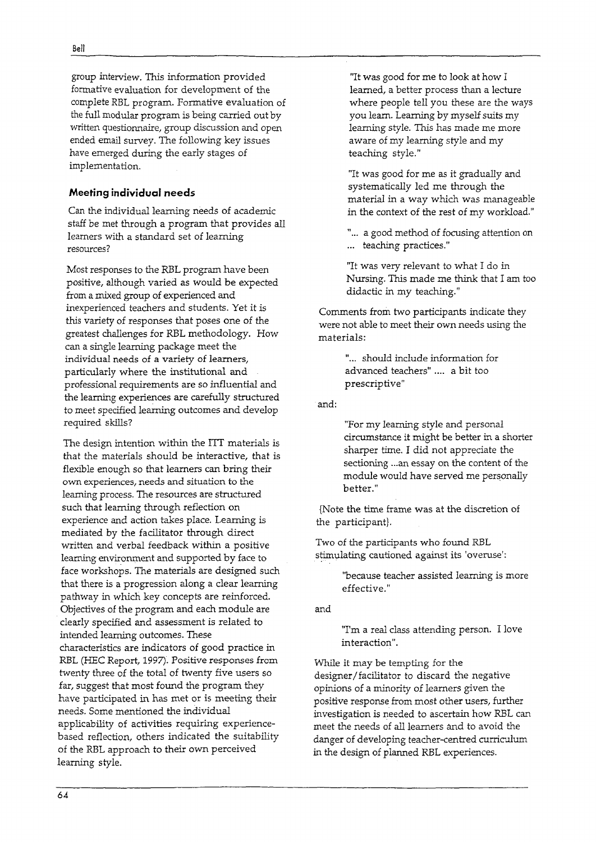group interview. This information provided formative evaluation for development of the complete RBL program. Formative evaluation of the full modular program is being carried out by written questionnaire, group discussion and open ended email survey. The following key issues have emerged during the early stages of implementation.

#### **Meeting individual needs**

Can the individual learning needs of academic staff be met through a program that provides all learners with a standard set of learning resources?

Most responses to the RBL program have been positive, although varied as would be expected from a mixed group of experienced and inexperienced teachers and students. Yet it is this variety of responses that poses one of the greatest challenges for RBL methodology. How can a single learning package meet the individual needs of a variety of learners, particularly where the institutional and professional requirements are so influential and the learning experiences are carefully structured to meet specified learning outcomes and develop required skills?

The design intention within the ITT materials is that the materials should be interactive, that is flexible enough so that learners can bring their own experiences, needs and situation to the learning process. The resources are structured such that learning through reflection on experience and action takes place. Learning is mediated by the facilitator through direct written and verbal feedback within a positive leaming environment and supported by face to face workshops. The materials are designed such that there is a progression along a clear learning pathway in which key concepts are reinforced. Objectives of the program and each module are clearly specified and assessment is related to intended learning outcomes. These characteristics are indicators of good practice in RBL (HEC Report, 1997). Positive responses from twenty three of the total of twenty five users so far, suggest that most found the program they have participated in has met or is meeting their needs. Some mentioned the individual applicability of activities requiring experiencebased reflection, others indicated the suitability of the RBL approach to their own perceived learning style.

"It was good for me to look at how I learned, a better process than a lecture where people tell you these are the ways you learn. Learning by myself suits my learning style. This has made me more aware of my learning style and my teaching style."

"It was good for me as it gradually and systematically led me through the material in a way which was manageable in the context of the rest of my workload."

"... a good method of focusing attention on ... teaching practices."

"It was very relevant to what I do in Nursing. This made me think that I am too didactic in my teaching."

Comments from two participants indicate they were not able to meet their own needs using the materials:

> "... should include information for advanced teachers" .... a bit too prescriptive"

and:

"For my learning style and personal circumstance it might be better in a shorter sharper time. I did not appreciate the sectioning ...an essay on the content of the module would have served me personally better. "

{Note the time frame was at the discretion of the participant}.

Two of the participants who found RBL stimulating cautioned against its 'overuse':

> "because teacher assisted learning is more effective."

and

"I'm a real class attending person. I love interaction".

While it may be tempting for the designer/ facilitator to discard the negative opinions of a minority of learners given the positive response from most other users, further investigation is needed to ascertain how RBL can meet the needs of all learners and to avoid the danger of developing teacher-eentred curriculum in the design of planned RBL experiences.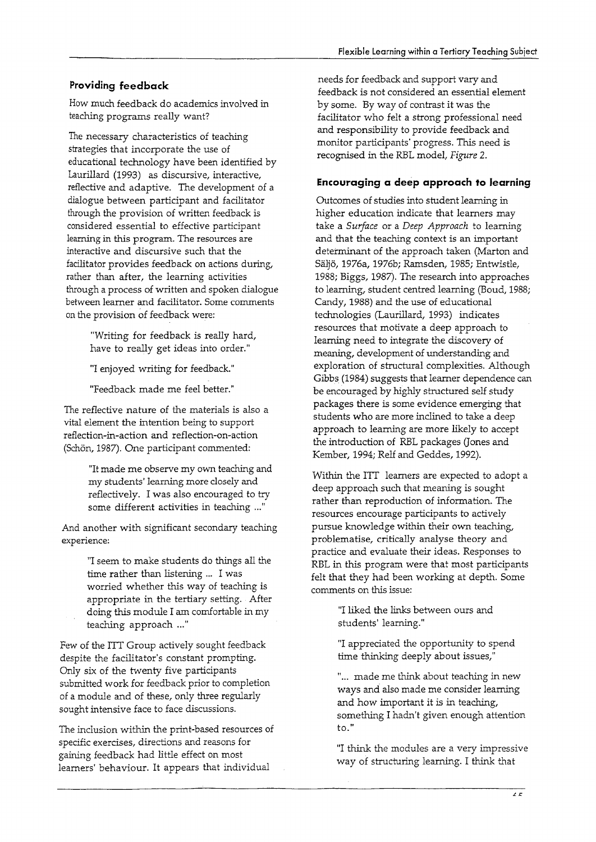### **Providing feedback**

How much feedback do academics involved in teaching programs really want?

The necessary characteristics of teaching strategies that incorporate the use of educational technology have been identified by Laurillard (1993) as discursive, interactive, reflective and adaptive. The development of a dialogue between participant and facilitator through the provision of written feedback is considered essential to effective participant learning in this program. The resources are interactive and discursive such that the facilitator provides feedback on actions during, rather than after, the learning activities through a process of written and spoken dialogue between learner and facilitator. Some comments on the provision of feedback were:

> "Writing for feedback is really hard, have to really get ideas into order."

"1 enjoyed writing for feedback."

"Feedback made me feel better."

The reflective nature of the materials is also a vital element the intention being to support reflection-in-action and reflection-on-action (Schön, 1987). One participant commented:

> "It made me observe my own teaching and my students' learning more closely and reflectively. 1 was also encouraged to try some different activities in teaching ..."

And another with significant secondary teaching experience:

> "1 seem to make students do things all the time rather than listening ... I was worried whether this way of teaching is appropriate in the tertiary setting. After doing this module 1 am comfortable in my teaching approach ..."

Few of the ITT Group actively sought feedback despite the facilitator's constant prompting. Only six of the twenty five participants submitted work for feedback prior to completion of a module and of these, only three regularly sought intensive face to face discussions.

The inclusion within the print-based resources of specific exercises, directions and reasons for gaining feedback had little effect on most learners' behaviour. It appears that individual

needs for feedback and support vary and feedback is not considered an essential element by some. By way of contrast it was the facilitator who felt a strong professional need and responsibility to provide feedback and monitor participants' progress. This need is recognised in the REL model, *Figure 2.*

### **Encouraging a deep approach to learning**

Outcomes of studies into student learning in higher education indicate that learners may take a *Surface* or a *Deep Approach* to learning and that the teaching context is an important determinant of the approach taken (Marton and SaIjo, 1976a, 1976b; Ramsden, 1985; Entwistle, 1988; Biggs, 1987). The research into approaches to learning, student centred leaming (Boud, 1988; Candy, 1988) and the use of educational technologies (Laurillard, 1993) indicates resources that motivate a deep approach to leaming need to integrate the discovery of meaning, development of understanding and exploration of structural complexities. Although Gibbs (1984) suggests that learner dependence can be encouraged by highly structured self study packages there is some evidence emerging that students who are more inclined to take a deep approach to learning are more likely to accept the introduction of REL packages Gones and Kember, 1994; Relf and Geddes, 1992).

Within the ITT learners are expected to adopt a deep approach such that meaning is sought rather than reproduction of information. The resources encourage participants to actively pursue knowledge within their own teaching, problematise, critically analyse theory and practice and evaluate their ideas. Responses to REL in this program were that most participants felt that they had been working at depth. Some comments on this issue:

> "1 liked the links between ours and students' learning."

"1 appreciated the opportunity to spend time thinking deeply about issues,"

"... made me think about teaching in new ways and also made me consider learning and how important it is in teaching, something 1hadn't given enough attention to."

"1 think the modules are a very impressive way of structuring learning. I think that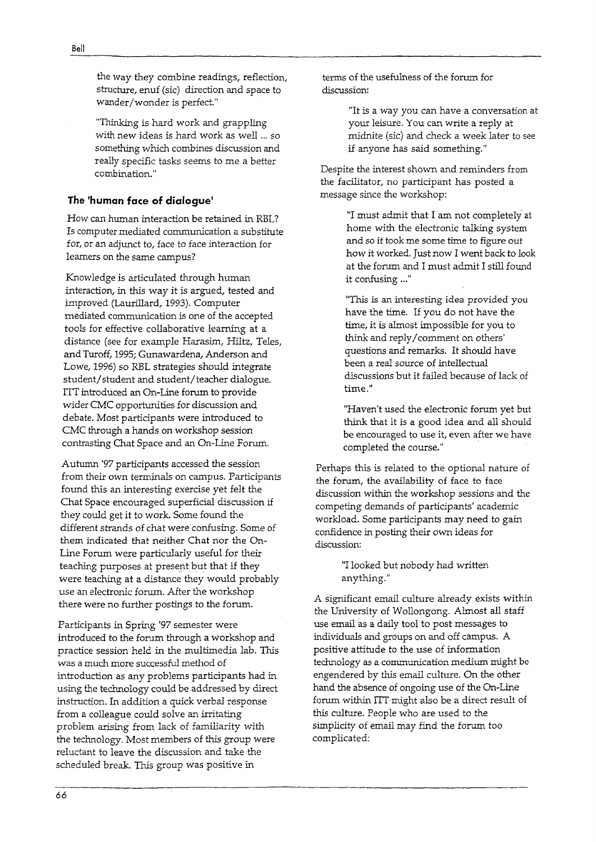Bell

the way they combine readings, reflection, structure, enuf (sic) direction and space to wander/wonder is perfect."

"Thinking is hard work and grappling with new ideas is hard work as well ... so something which combines discussion and really specific tasks seems to me a better combination."

### **The 'human face of dialogue'**

How can human interaction be retained in RBL? Is computer mediated communication a substitute for, or an adjunct to, face to face interaction for learners on the same campus?

Knowledge is articulated through human interaction, in this way it is argued, tested and improved (Laurillard, 1993). Computer mediated communication is one of the accepted tools for effective collaborative learning at a distance (see for example Harasim, Hiltz, Teles, and Turoff, 1995; Gunawardena, Anderson and Lowe, 1996) so RBL strategies should integrate student/student and student/teacher dialogue. ITT introduced an On-Line forum to provide wider CMC opportunities for discussion and debate. Most participants were introduced to CMC through a hands on workshop session contrasting Chat Space and an On-Line Forum.

Autumn '97 participants accessed the session from their own terminals on campus. Participants found this an interesting exercise yet felt the Chat Space encouraged superficial discussion if they could get it to work. Some found the different strands of chat were confusing. Some of them indicated that neither Chat nor the On-Line Forum were particularly useful for their teaching purposes at present but that if they were teaching at a distance they would probably use an electronic forum. After the workshop there were no further postings to the forum.

Participants in Spring '97 semester were introduced to the forum through a workshop and practice session held in the multimedia lab. This was a much more successful method of introduction as any problems participants had in using the technology could be addressed by direct instruction. In addition a quick verbal response from a colleague could solve an irritating problem arising from lack of familiarity with the technology. Mostmembers of this group were reluctant to leave the discussion and take the scheduled break. This group was positive in

terms of the usefulness of the forum for discussion:

> "It is a way you can have a conversation at your leisure. You can write a reply at midnite (sic) and check a week later to see if anyone has said something."

Despite the interest shown and reminders from the facilitator, no participant has posted a message since the workshop:

> "I must admit that I am not completely at home with the electronic talking system and so it took me some time to figure out how it worked. Just now I went back to look at the forum and I must admit I still found it confusing ..."

"This is an interesting idea provided you have the time. If you do not have the time, it is almost impossible for you to think and reply/ comment on others' questions and remarks. It should have been a real source of intellectual discussions but it failed because of lack of time."

"Haven't used the electronic forum yet but think that it is a good idea and all should be encouraged to use it, even after we have completed the course."

Perhaps this is related to the optional nature of the forum, the availability of face to face discussion within the workshop sessions and the competing demands of participants' academic workload. Some participants may need to gain confidence in posting their own ideas for discussion:

> "I looked but nobody had written anything."

A significant email culture already exists within the University of Wollongong. Almost all staff use email as a daily tool to post messages to individuals and groups on and off campus. A positive attitude to the use of information technology as a communication medium might be engendered by this email culture. On the other hand the absence of ongoing use of the On-Line forum within ITT might also be a direct result of this culture. Peopie who are used to the simplicity of email may find the forum too complicated: